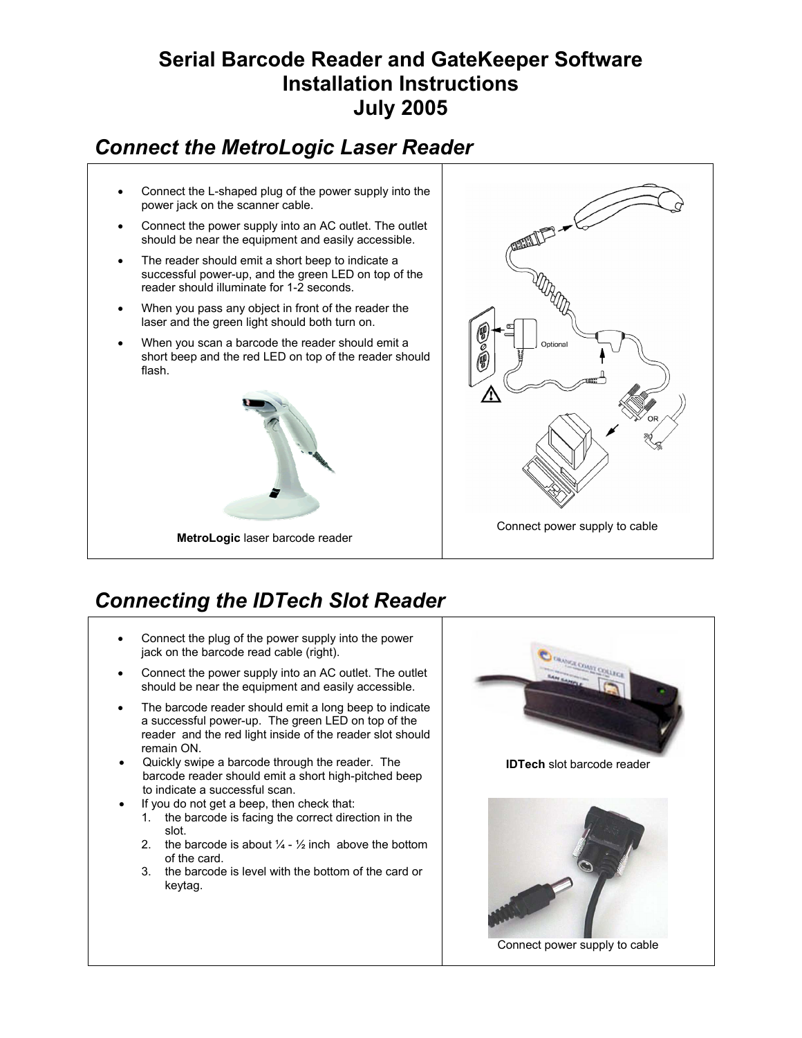### **Serial Barcode Reader and GateKeeper Software Installation Instructions July 2005**

# *Connect the MetroLogic Laser Reader*

- Connect the L-shaped plug of the power supply into the power jack on the scanner cable.
- Connect the power supply into an AC outlet. The outlet should be near the equipment and easily accessible.
- The reader should emit a short beep to indicate a successful power-up, and the green LED on top of the reader should illuminate for 1-2 seconds.
- When you pass any object in front of the reader the laser and the green light should both turn on.
- When you scan a barcode the reader should emit a short beep and the red LED on top of the reader should flash.





# *Connecting the IDTech Slot Reader*

- Connect the plug of the power supply into the power jack on the barcode read cable (right).
- Connect the power supply into an AC outlet. The outlet should be near the equipment and easily accessible.
- The barcode reader should emit a long beep to indicate a successful power-up. The green LED on top of the reader and the red light inside of the reader slot should remain ON.
- Quickly swipe a barcode through the reader. The barcode reader should emit a short high-pitched beep to indicate a successful scan.
- If you do not get a beep, then check that:
	- 1. the barcode is facing the correct direction in the slot.
	- 2. the barcode is about  $\frac{1}{4}$   $\frac{1}{2}$  inch above the bottom of the card.
	- 3. the barcode is level with the bottom of the card or keytag.

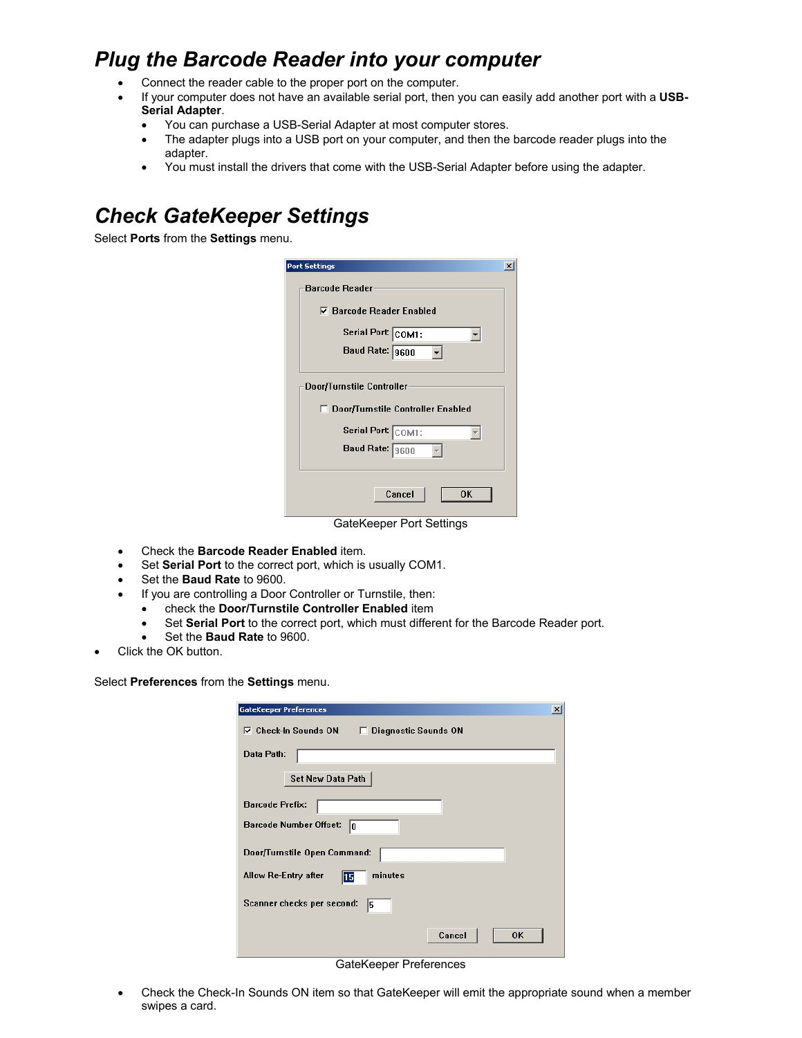## *Plug the Barcode Reader into your computer*

- Connect the reader cable to the proper port on the computer.
- If your computer does not have an available serial port, then you can easily add another port with a **USB-Serial Adapter**.
	- You can purchase a USB-Serial Adapter at most computer stores.
	- The adapter plugs into a USB port on your computer, and then the barcode reader plugs into the adapter.
	- You must install the drivers that come with the USB-Serial Adapter before using the adapter.

# *Check GateKeeper Settings*

Select **Ports** from the **Settings** menu.

| <b>Port Settings</b>                                             | $\vert x \vert$ |
|------------------------------------------------------------------|-----------------|
| <b>Barcode Reader</b>                                            |                 |
| $\nabla$ Barcode Reader Enabled                                  |                 |
| Serial Port: COM1:                                               |                 |
| Baud Rate: 9600                                                  |                 |
| Door/Turnstile Controller<br>□ Door/Turnstile Controller Enabled |                 |
| Serial Port: COM1:<br>Baud Rate: 9600                            |                 |
| Cancel<br>OΚ                                                     |                 |
| GateKeeper Port Settings                                         |                 |

- Check the **Barcode Reader Enabled** item.
- Set **Serial Port** to the correct port, which is usually COM1.
- Set the **Baud Rate** to 9600.
- If you are controlling a Door Controller or Turnstile, then:
	- check the **Door/Turnstile Controller Enabled** item
	- Set **Serial Port** to the correct port, which must different for the Barcode Reader port.
	- Set the **Baud Rate** to 9600.
- Click the OK button.

Select **Preferences** from the **Settings** menu.

| <b>GateKeeper Preferences</b><br>$\vert x \vert$                 |
|------------------------------------------------------------------|
| $\nabla$ Check-In Sounds ON<br><b>Diagnostic Sounds ON</b><br>D. |
| Data Path:                                                       |
| <b>Set New Data Path</b>                                         |
| <b>Barcode Prefix:</b>                                           |
| <b>Barcode Number Offset:</b><br>lo                              |
| Door/Turnstile Open Command:                                     |
| minutes<br>Allow Re-Entry after<br>15                            |
| Scanner checks per second:<br>15                                 |
| Cancel<br>0K                                                     |

GateKeeper Preferences

• Check the Check-In Sounds ON item so that GateKeeper will emit the appropriate sound when a member swipes a card.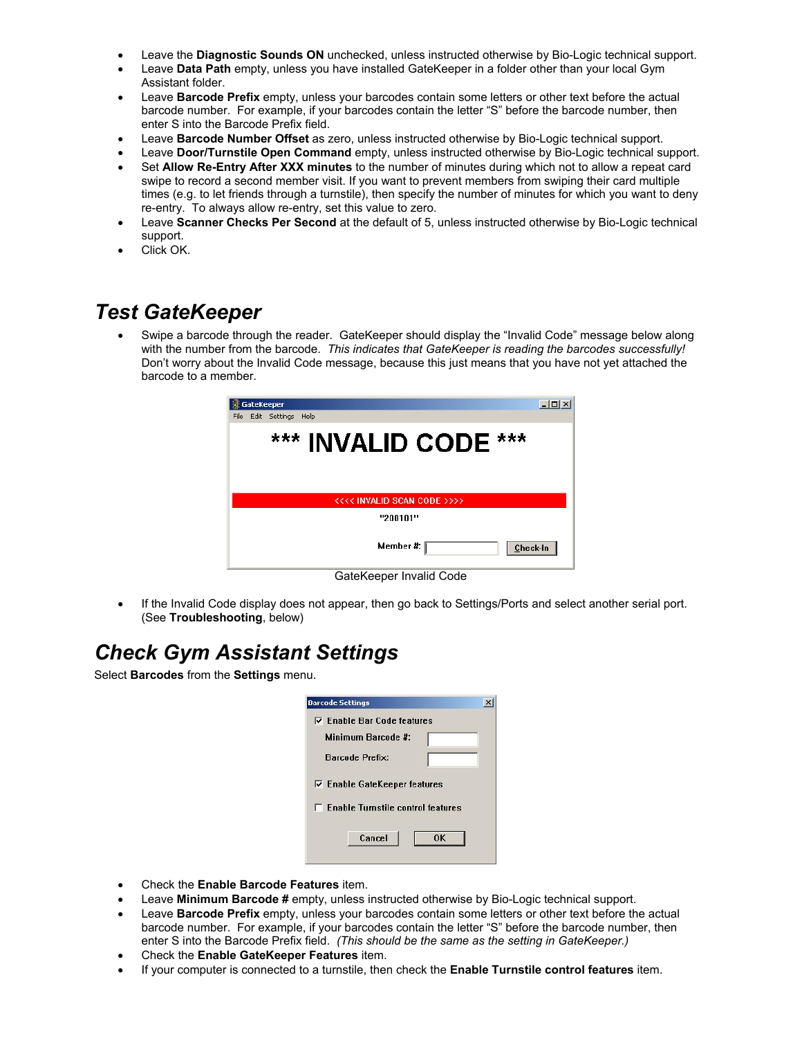- Leave the **Diagnostic Sounds ON** unchecked, unless instructed otherwise by Bio-Logic technical support.
- Leave **Data Path** empty, unless you have installed GateKeeper in a folder other than your local Gym Assistant folder.
- Leave **Barcode Prefix** empty, unless your barcodes contain some letters or other text before the actual barcode number. For example, if your barcodes contain the letter "S" before the barcode number, then enter S into the Barcode Prefix field.
- Leave **Barcode Number Offset** as zero, unless instructed otherwise by Bio-Logic technical support.
- Leave **Door/Turnstile Open Command** empty, unless instructed otherwise by Bio-Logic technical support.
- Set **Allow Re-Entry After XXX minutes** to the number of minutes during which not to allow a repeat card swipe to record a second member visit. If you want to prevent members from swiping their card multiple times (e.g. to let friends through a turnstile), then specify the number of minutes for which you want to deny re-entry. To always allow re-entry, set this value to zero.
- Leave **Scanner Checks Per Second** at the default of 5, unless instructed otherwise by Bio-Logic technical support.
- Click OK.

#### *Test GateKeeper*

• Swipe a barcode through the reader. GateKeeper should display the "Invalid Code" message below along with the number from the barcode. *This indicates that GateKeeper is reading the barcodes successfully!*  Don't worry about the Invalid Code message, because this just means that you have not yet attached the barcode to a member.



• If the Invalid Code display does not appear, then go back to Settings/Ports and select another serial port. (See **Troubleshooting**, below)

## *Check Gym Assistant Settings*

Select **Barcodes** from the **Settings** menu.

|                                             | $\nabla$ Enable Bar Code features |
|---------------------------------------------|-----------------------------------|
| Minimum Barcode #:                          |                                   |
| <b>Barcode Prefix:</b>                      |                                   |
| $\nabla$ Enable GateKeeper features         |                                   |
| <b>E. Enable Turnstile control features</b> |                                   |

- Check the **Enable Barcode Features** item.
- Leave **Minimum Barcode #** empty, unless instructed otherwise by Bio-Logic technical support.
- Leave **Barcode Prefix** empty, unless your barcodes contain some letters or other text before the actual barcode number. For example, if your barcodes contain the letter "S" before the barcode number, then enter S into the Barcode Prefix field. *(This should be the same as the setting in GateKeeper.)*
- Check the **Enable GateKeeper Features** item.
- If your computer is connected to a turnstile, then check the **Enable Turnstile control features** item.